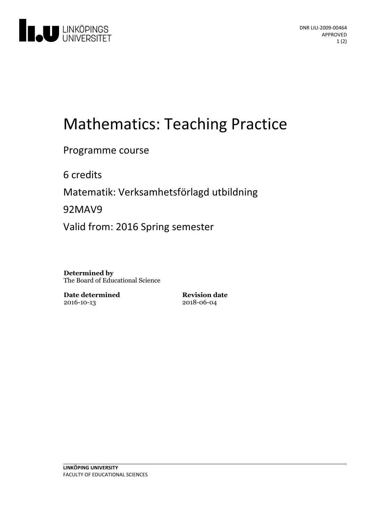

# Mathematics: Teaching Practice

Programme course

6 credits

Matematik: Verksamhetsförlagd utbildning

92MAV9

Valid from: 2016 Spring semester

**Determined by** The Board of Educational Science

**Date determined** 2016-10-13

**Revision date** 2018-06-04